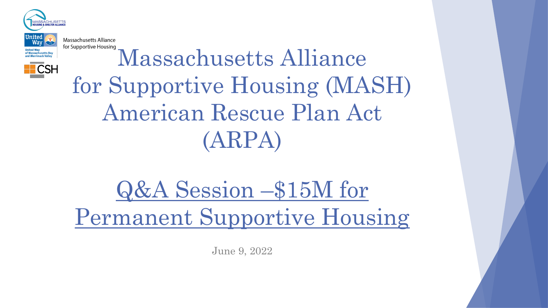

 $\overline{\phantom{a}}$ CSH

Massachusetts Alliance for Supportive Housing Massachusetts Alliance for Supportive Housing (MASH) American Rescue Plan Act (ARPA)

Q&A Session –\$15M for Permanent Supportive Housing

June 9, 2022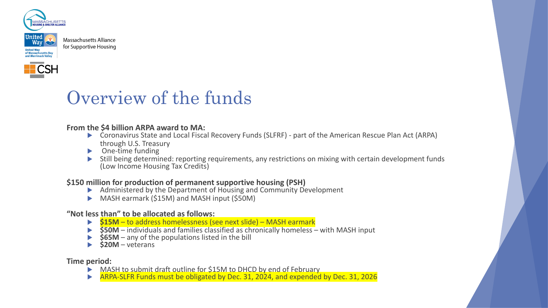





#### **From the \$4 billion ARPA award to MA:**

- ▶ Coronavirus State and Local Fiscal Recovery Funds (SLFRF) part of the American Rescue Plan Act (ARPA) through U.S. Treasury
- $\triangleright$  One-time funding
- Still being determined: reporting requirements, any restrictions on mixing with certain development funds (Low Income Housing Tax Credits)

#### **\$150 million for production of permanent supportive housing (PSH)**

- $\blacktriangleright$  Administered by the Department of Housing and Community Development
- $\triangleright$  MASH earmark (\$15M) and MASH input (\$50M)

#### **"Not less than" to be allocated as follows:**

- ▶ **\$15M** to address homelessness (see next slide) MASH earmark
- **\$50M** individuals and families classified as chronically homeless with MASH input
- $\frac{1}{565M}$  any of the populations listed in the bill
- **\$20M** veterans

**Time period:** 

- $\triangleright$  MASH to submit draft outline for \$15M to DHCD by end of February
- ARPA-SLFR Funds must be obligated by Dec. 31, 2024, and expended by Dec. 31, 2026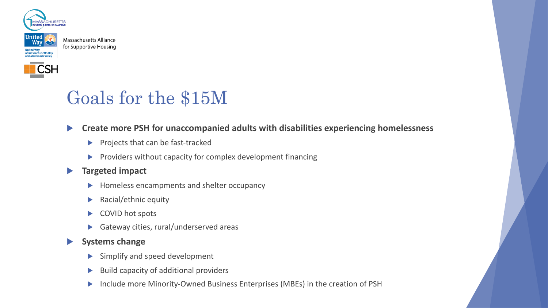



# Goals for the \$15M

### **EXP** Create more PSH for unaccompanied adults with disabilities experiencing homelessness

- $\blacktriangleright$  Projects that can be fast-tracked
- $\blacktriangleright$  Providers without capacity for complex development financing

### **Fargeted impact**

- Homeless encampments and shelter occupancy
- Racial/ethnic equity
- COVID hot spots
- Gateway cities, rural/underserved areas

#### **Systems change**

- Simplify and speed development
- Build capacity of additional providers
- Include more Minority-Owned Business Enterprises (MBEs) in the creation of PSH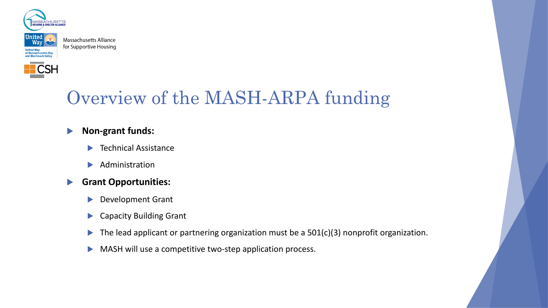



# Overview of the MASH-ARPA funding

## **Non-grant funds:**

- Technical Assistance
- Administration

## **Grant Opportunities:**

- Development Grant
- $\blacktriangleright$  Capacity Building Grant
- $\blacktriangleright$  The lead applicant or partnering organization must be a 501(c)(3) nonprofit organization.
- $\blacktriangleright$  MASH will use a competitive two-step application process.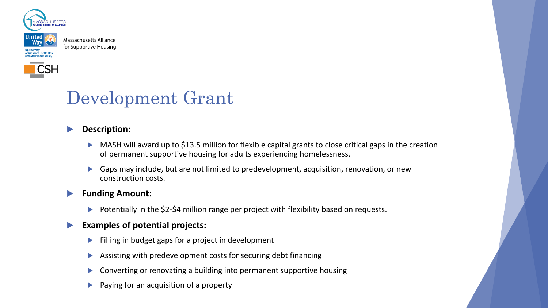



# Development Grant

## **Description:**

- MASH will award up to \$13.5 million for flexible capital grants to close critical gaps in the creation of permanent supportive housing for adults experiencing homelessness.
- Gaps may include, but are not limited to predevelopment, acquisition, renovation, or new construction costs.

#### **Funding Amount:**

Potentially in the \$2-\$4 million range per project with flexibility based on requests.

## **Examples of potential projects:**

- Filling in budget gaps for a project in development
- Assisting with predevelopment costs for securing debt financing
- Converting or renovating a building into permanent supportive housing
- Paying for an acquisition of a property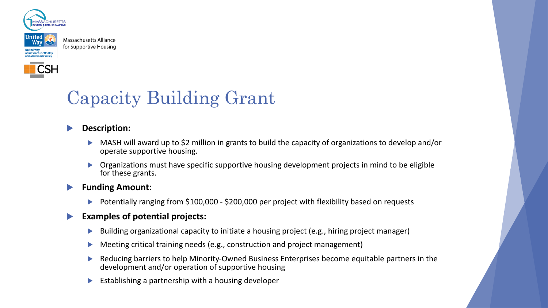



# Capacity Building Grant

### **Description:**

- MASH will award up to \$2 million in grants to build the capacity of organizations to develop and/or operate supportive housing.
- Organizations must have specific supportive housing development projects in mind to be eligible for these grants.

#### **Funding Amount:**

Potentially ranging from \$100,000 - \$200,000 per project with flexibility based on requests

### u **Examples of potential projects:**

- Building organizational capacity to initiate a housing project (e.g., hiring project manager)
- Meeting critical training needs (e.g., construction and project management)
- Reducing barriers to help Minority-Owned Business Enterprises become equitable partners in the development and/or operation of supportive housing
- Establishing a partnership with a housing developer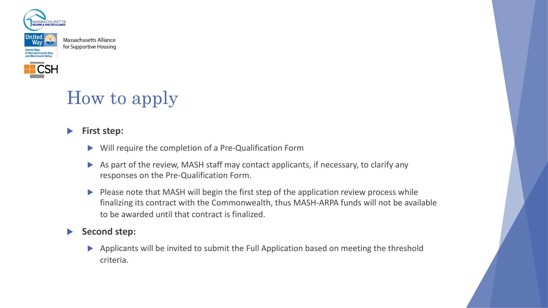



# How to apply

## **First step:**

- Will require the completion of a Pre-Qualification Form
- As part of the review, MASH staff may contact applicants, if necessary, to clarify any responses on the Pre-Qualification Form.
- $\blacktriangleright$  Please note that MASH will begin the first step of the application review process while finalizing its contract with the Commonwealth, thus MASH-ARPA funds will not be available to be awarded until that contract is finalized.

## Second step:

Applicants will be invited to submit the Full Application based on meeting the threshold criteria.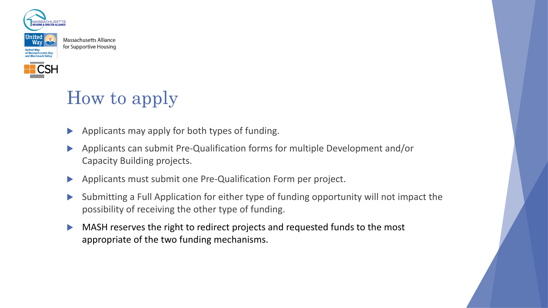



# How to apply

- $\blacktriangleright$  Applicants may apply for both types of funding.
- $\blacktriangleright$  Applicants can submit Pre-Qualification forms for multiple Development and/or Capacity Building projects.
- Applicants must submit one Pre-Qualification Form per project.
- u Submitting a Full Application for either type of funding opportunity will not impact the possibility of receiving the other type of funding.
- $\blacktriangleright$  MASH reserves the right to redirect projects and requested funds to the most appropriate of the two funding mechanisms.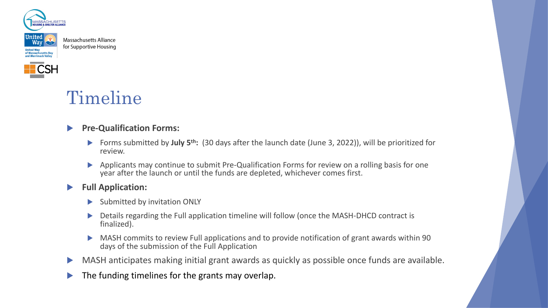



# Timeline

### **Pre-Qualification Forms:**

- u Forms submitted by **July 5th:** (30 days after the launch date (June 3, 2022)), will be prioritized for review.
- Applicants may continue to submit Pre-Qualification Forms for review on a rolling basis for one year after the launch or until the funds are depleted, whichever comes first.

#### **Full Application:**

- Submitted by invitation ONLY
- Details regarding the Full application timeline will follow (once the MASH-DHCD contract is finalized).
- MASH commits to review Full applications and to provide notification of grant awards within 90 days of the submission of the Full Application
- $\blacktriangleright$  MASH anticipates making initial grant awards as quickly as possible once funds are available.
- $\blacktriangleright$  The funding timelines for the grants may overlap.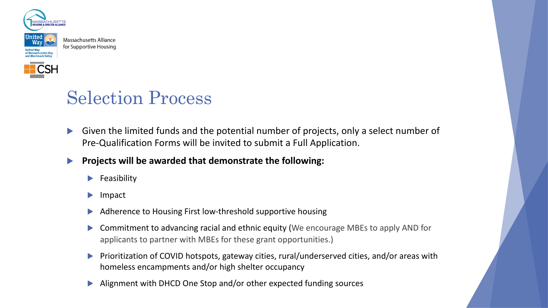



# Selection Process

- Given the limited funds and the potential number of projects, only a select number of Pre-Qualification Forms will be invited to submit a Full Application.
- **Projects will be awarded that demonstrate the following:** 
	- Feasibility
	- Impact
	- Adherence to Housing First low-threshold supportive housing
	- Commitment to advancing racial and ethnic equity (We encourage MBEs to apply AND for applicants to partner with MBEs for these grant opportunities.)
	- u Prioritization of COVID hotspots, gateway cities, rural/underserved cities, and/or areas with homeless encampments and/or high shelter occupancy
	- Alignment with DHCD One Stop and/or other expected funding sources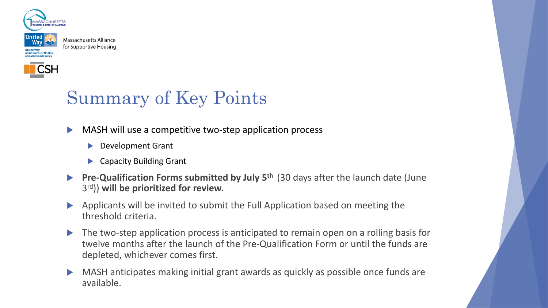



# Summary of Key Points

- $\blacktriangleright$  MASH will use a competitive two-step application process
	- Development Grant
	- $\blacktriangleright$  Capacity Building Grant
- **Pre-Qualification Forms submitted by July 5<sup>th</sup> (30 days after the launch date (June)** 3rd)) **will be prioritized for review.**
- $\blacktriangleright$  Applicants will be invited to submit the Full Application based on meeting the threshold criteria.
- $\blacktriangleright$  The two-step application process is anticipated to remain open on a rolling basis for twelve months after the launch of the Pre-Qualification Form or until the funds are depleted, whichever comes first.
- $\triangleright$  MASH anticipates making initial grant awards as quickly as possible once funds are available.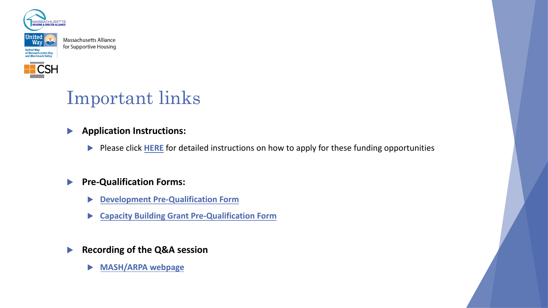



# Important links

- **[Application Instructions:](https://mhsa.net/how-we-help/partnerships-and-programs/mash-arpa-grant-application/)** 
	- Please click **HERE** for detailed instructions on how to apply for these
- **Pre-Qualification Forms:** 
	- u **Development Pre-Qualification Form**
	- **Example 2 Capacity Building Grant Pre-Qualification Form**

**Recording of the Q&A session** 

u **MASH/ARPA webpage**